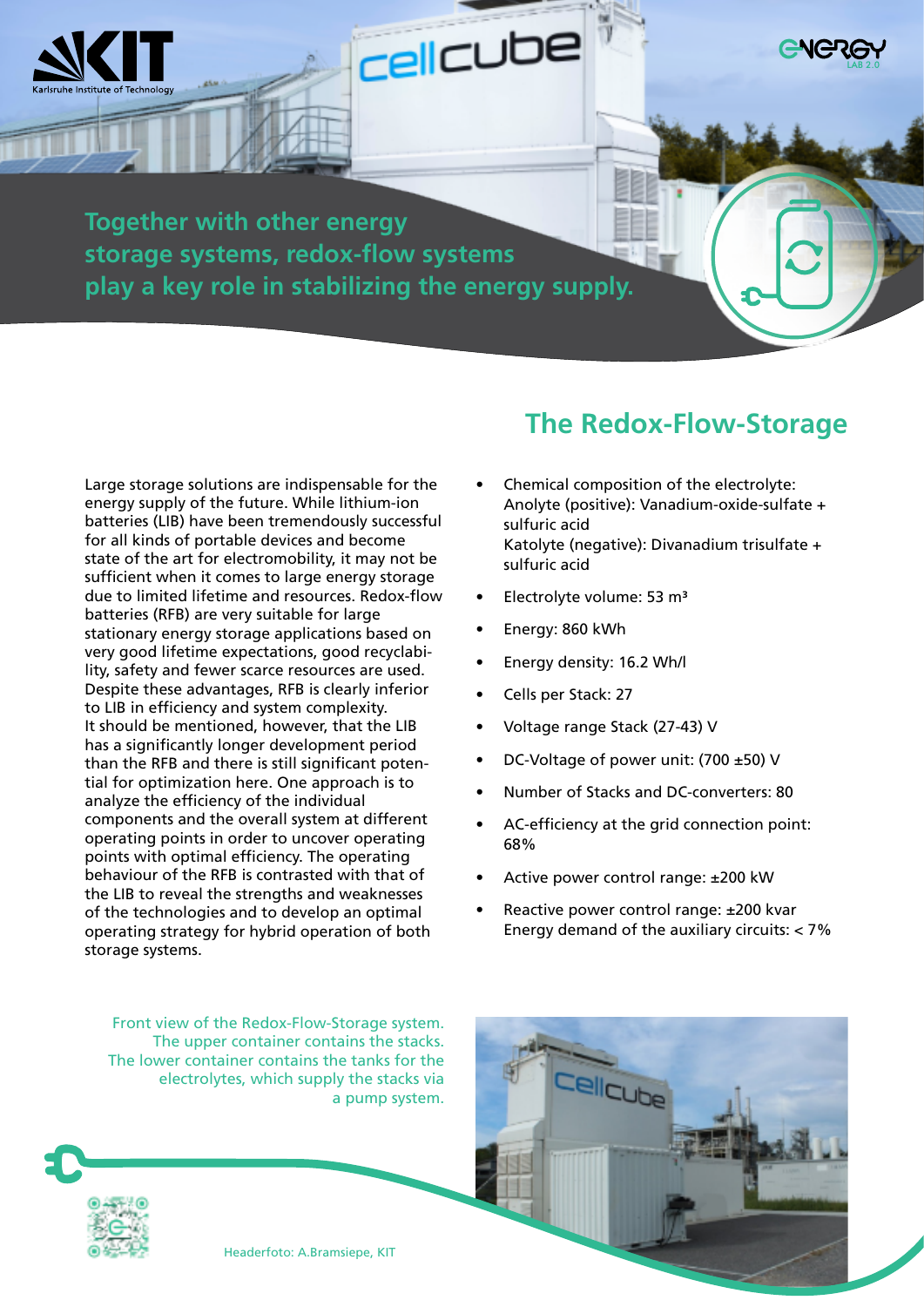**Together with other energy storage systems, redox-flow systems play a key role in stabilizing the energy supply.**

**CellCUbe** 

Large storage solutions are indispensable for the energy supply of the future. While lithium-ion batteries (LIB) have been tremendously successful for all kinds of portable devices and become state of the art for electromobility, it may not be sufficient when it comes to large energy storage due to limited lifetime and resources. Redox-flow batteries (RFB) are very suitable for large stationary energy storage applications based on very good lifetime expectations, good recyclability, safety and fewer scarce resources are used. Despite these advantages, RFB is clearly inferior to LIB in efficiency and system complexity. It should be mentioned, however, that the LIB has a significantly longer development period than the RFB and there is still significant potential for optimization here. One approach is to analyze the efficiency of the individual components and the overall system at different operating points in order to uncover operating points with optimal efficiency. The operating behaviour of the RFB is contrasted with that of the LIB to reveal the strengths and weaknesses of the technologies and to develop an optimal operating strategy for hybrid operation of both storage systems.

## **The Redox-Flow-Storage**

- Chemical composition of the electrolyte: Anolyte (positive): Vanadium-oxide-sulfate + sulfuric acid Katolyte (negative): Divanadium trisulfate + sulfuric acid
- Electrolyte volume: 53 m³
- Energy: 860 kWh
- Energy density: 16.2 Wh/l
- Cells per Stack: 27
- Voltage range Stack (27-43) V
- DC-Voltage of power unit: (700 ±50) V
- Number of Stacks and DC-converters: 80
- AC-efficiency at the grid connection point: 68%
- Active power control range: ±200 kW

Cellcube

Reactive power control range: ±200 kvar Energy demand of the auxiliary circuits:  $<$  7%

Front view of the Redox-Flow-Storage system. The upper container contains the stacks. The lower container contains the tanks for the electrolytes, which supply the stacks via a pump system.